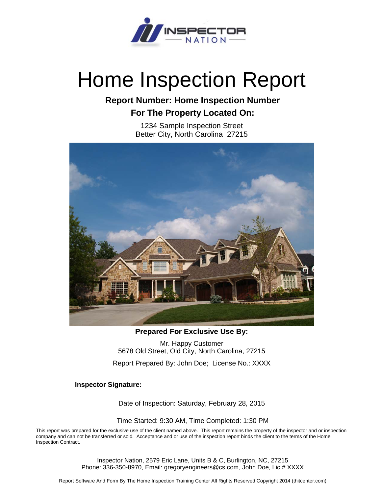

# Home Inspection Report

# **Report Number: Home Inspection Number For The Property Located On:**

1234 Sample Inspection Street Better City, North Carolina 27215



**Prepared For Exclusive Use By:**

Mr. Happy Customer 5678 Old Street, Old City, North Carolina, 27215

Report Prepared By: John Doe; License No.: XXXX

**Inspector Signature:**

Date of Inspection: Saturday, February 28, 2015

Time Started: 9:30 AM, Time Completed: 1:30 PM

This report was prepared for the exclusive use of the client named above. This report remains the property of the inspector and or inspection company and can not be transferred or sold. Acceptance and or use of the inspection report binds the client to the terms of the Home Inspection Contract.

> Inspector Nation, 2579 Eric Lane, Units B & C, Burlington, NC, 27215 Phone: 336-350-8970, Email: gregoryengineers@cs.com, John Doe, Lic.# XXXX

Report Software And Form By The Home Inspection Training Center All Rights Reserved Copyright 2014 (thitcenter.com)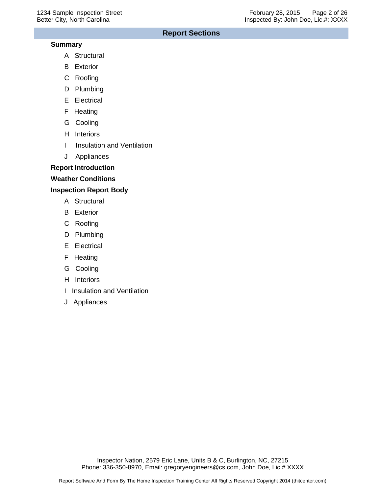## **Report Sections**

#### **Summary**

- A Structural
- B Exterior
- C Roofing
- D Plumbing
- E Electrical
- F Heating
- G Cooling
- H Interiors
- I Insulation and Ventilation
- J Appliances

## **Report Introduction**

## **Weather Conditions**

## **Inspection Report Body**

- A Structural
- B Exterior
- C Roofing
- D Plumbing
- E Electrical
- F Heating
- G Cooling
- H Interiors
- I Insulation and Ventilation
- J Appliances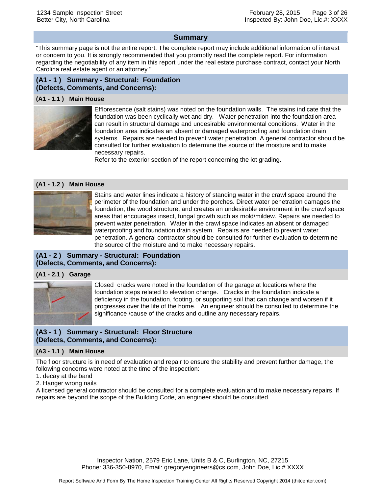#### **Summary**

"This summary page is not the entire report. The complete report may include additional information of interest or concern to you. It is strongly recommended that you promptly read the complete report. For information regarding the negotiability of any item in this report under the real estate purchase contract, contact your North Carolina real estate agent or an attorney."

## **(A1 - 1 ) Summary - Structural: Foundation (Defects, Comments, and Concerns):**

#### **(A1 - 1.1 ) Main House**



Efflorescence (salt stains) was noted on the foundation walls. The stains indicate that the foundation was been cyclically wet and dry. Water penetration into the foundation area can result in structural damage and undesirable environmental conditions. Water in the foundation area indicates an absent or damaged waterproofing and foundation drain systems. Repairs are needed to prevent water penetration. A general contractor should be consulted for further evaluation to determine the source of the moisture and to make necessary repairs.

Refer to the exterior section of the report concerning the lot grading.

#### **(A1 - 1.2 ) Main House**



Stains and water lines indicate a history of standing water in the crawl space around the perimeter of the foundation and under the porches. Direct water penetration damages the foundation, the wood structure, and creates an undesirable environment in the crawl space areas that encourages insect, fungal growth such as mold/mildew. Repairs are needed to prevent water penetration. Water in the crawl space indicates an absent or damaged waterproofing and foundation drain system. Repairs are needed to prevent water penetration. A general contractor should be consulted for further evaluation to determine the source of the moisture and to make necessary repairs.

## **(A1 - 2 ) Summary - Structural: Foundation (Defects, Comments, and Concerns):**

#### **(A1 - 2.1 ) Garage**



Closed cracks were noted in the foundation of the garage at locations where the foundation steps related to elevation change. Cracks in the foundation indicate a deficiency in the foundation, footing, or supporting soil that can change and worsen if it progresses over the life of the home. An engineer should be consulted to determine the significance /cause of the cracks and outline any necessary repairs.

## **(A3 - 1 ) Summary - Structural: Floor Structure (Defects, Comments, and Concerns):**

#### **(A3 - 1.1 ) Main House**

The floor structure is in need of evaluation and repair to ensure the stability and prevent further damage, the following concerns were noted at the time of the inspection:

- 1. decay at the band
- 2. Hanger wrong nails

A licensed general contractor should be consulted for a complete evaluation and to make necessary repairs. If repairs are beyond the scope of the Building Code, an engineer should be consulted.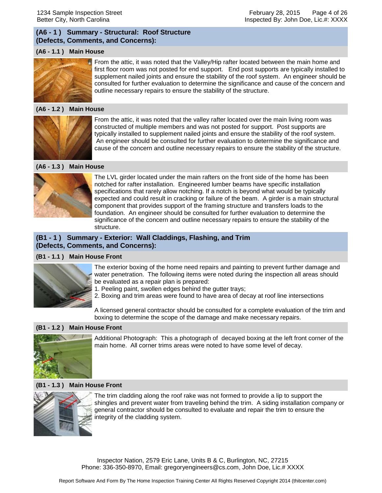## **(A6 - 1 ) Summary - Structural: Roof Structure (Defects, Comments, and Concerns):**

#### **(A6 - 1.1 ) Main House**



From the attic, it was noted that the Valley/Hip rafter located between the main home and first floor room was not posted for end support. End post supports are typically installed to supplement nailed joints and ensure the stability of the roof system. An engineer should be consulted for further evaluation to determine the significance and cause of the concern and outline necessary repairs to ensure the stability of the structure.

#### **(A6 - 1.2 ) Main House**



From the attic, it was noted that the valley rafter located over the main living room was constructed of multiple members and was not posted for support. Post supports are typically installed to supplement nailed joints and ensure the stability of the roof system. An engineer should be consulted for further evaluation to determine the significance and cause of the concern and outline necessary repairs to ensure the stability of the structure.

#### **(A6 - 1.3 ) Main House**



The LVL girder located under the main rafters on the front side of the home has been notched for rafter installation. Engineered lumber beams have specific installation specifications that rarely allow notching. If a notch is beyond what would be typically expected and could result in cracking or failure of the beam. A girder is a main structural component that provides support of the framing structure and transfers loads to the foundation. An engineer should be consulted for further evaluation to determine the significance of the concern and outline necessary repairs to ensure the stability of the structure.

#### **(B1 - 1 ) Summary - Exterior: Wall Claddings, Flashing, and Trim (Defects, Comments, and Concerns):**

#### **(B1 - 1.1 ) Main House Front**



- The exterior boxing of the home need repairs and painting to prevent further damage and water penetration. The following items were noted during the inspection all areas should be evaluated as a repair plan is prepared:
- 1. Peeling paint, swollen edges behind the gutter trays;
- 2. Boxing and trim areas were found to have area of decay at roof line intersections

A licensed general contractor should be consulted for a complete evaluation of the trim and boxing to determine the scope of the damage and make necessary repairs.

#### **(B1 - 1.2 ) Main House Front**



Additional Photograph: This a photograph of decayed boxing at the left front corner of the main home. All corner trims areas were noted to have some level of decay.

#### **(B1 - 1.3 ) Main House Front**



The trim cladding along the roof rake was not formed to provide a lip to support the shingles and prevent water from traveling behind the trim. A siding installation company or general contractor should be consulted to evaluate and repair the trim to ensure the integrity of the cladding system.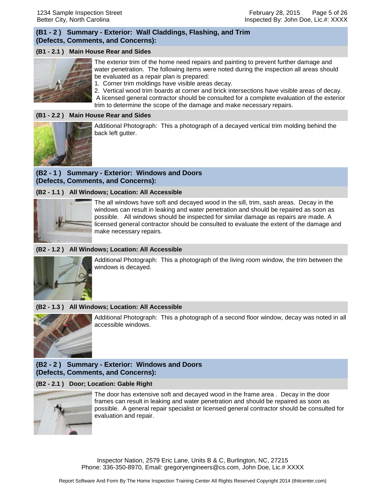## **(B1 - 2 ) Summary - Exterior: Wall Claddings, Flashing, and Trim (Defects, Comments, and Concerns):**

## **(B1 - 2.1 ) Main House Rear and Sides**



The exterior trim of the home need repairs and painting to prevent further damage and water penetration. The following items were noted during the inspection all areas should be evaluated as a repair plan is prepared:

1. Corner trim moldings have visible areas decay.

2. Vertical wood trim boards at corner and brick intersections have visible areas of decay. A licensed general contractor should be consulted for a complete evaluation of the exterior trim to determine the scope of the damage and make necessary repairs.

## **(B1 - 2.2 ) Main House Rear and Sides**



Additional Photograph: This a photograph of a decayed vertical trim molding behind the back left gutter.

#### **(B2 - 1 ) Summary - Exterior: Windows and Doors (Defects, Comments, and Concerns):**

#### **(B2 - 1.1 ) All Windows; Location: All Accessible**



The all windows have soft and decayed wood in the sill, trim, sash areas. Decay in the windows can result in leaking and water penetration and should be repaired as soon as possible. All windows should be inspected for similar damage as repairs are made. A licensed general contractor should be consulted to evaluate the extent of the damage and make necessary repairs.

#### **(B2 - 1.2 ) All Windows; Location: All Accessible**



Additional Photograph: This a photograph of the living room window, the trim between the windows is decayed.

#### **(B2 - 1.3 ) All Windows; Location: All Accessible**



Additional Photograph: This a photograph of a second floor window, decay was noted in all accessible windows.

## **(B2 - 2 ) Summary - Exterior: Windows and Doors (Defects, Comments, and Concerns):**

#### **(B2 - 2.1 ) Door; Location: Gable Right**



The door has extensive soft and decayed wood in the frame area . Decay in the door frames can result in leaking and water penetration and should be repaired as soon as possible. A general repair specialist or licensed general contractor should be consulted for evaluation and repair.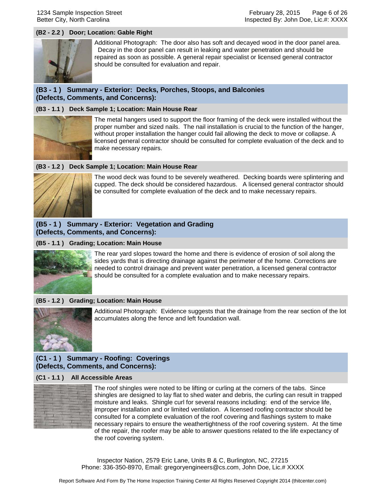#### **(B2 - 2.2 ) Door; Location: Gable Right**



Additional Photograph: The door also has soft and decayed wood in the door panel area. Decay in the door panel can result in leaking and water penetration and should be repaired as soon as possible. A general repair specialist or licensed general contractor should be consulted for evaluation and repair.

## **(B3 - 1 ) Summary - Exterior: Decks, Porches, Stoops, and Balconies (Defects, Comments, and Concerns):**

#### **(B3 - 1.1 ) Deck Sample 1; Location: Main House Rear**



The metal hangers used to support the floor framing of the deck were installed without the proper number and sized nails. The nail installation is crucial to the function of the hanger, without proper installation the hanger could fail allowing the deck to move or collapse. A licensed general contractor should be consulted for complete evaluation of the deck and to make necessary repairs.

#### **(B3 - 1.2 ) Deck Sample 1; Location: Main House Rear**



The wood deck was found to be severely weathered. Decking boards were splintering and cupped. The deck should be considered hazardous. A licensed general contractor should be consulted for complete evaluation of the deck and to make necessary repairs.

#### **(B5 - 1 ) Summary - Exterior: Vegetation and Grading (Defects, Comments, and Concerns):**

#### **(B5 - 1.1 ) Grading; Location: Main House**



The rear yard slopes toward the home and there is evidence of erosion of soil along the sides yards that is directing drainage against the perimeter of the home. Corrections are needed to control drainage and prevent water penetration, a licensed general contractor should be consulted for a complete evaluation and to make necessary repairs.

#### **(B5 - 1.2 ) Grading; Location: Main House**



Additional Photograph: Evidence suggests that the drainage from the rear section of the lot accumulates along the fence and left foundation wall.

## **(C1 - 1 ) Summary - Roofing: Coverings (Defects, Comments, and Concerns):**

#### **(C1 - 1.1 ) All Accessible Areas**



The roof shingles were noted to be lifting or curling at the corners of the tabs. Since shingles are designed to lay flat to shed water and debris, the curling can result in trapped moisture and leaks. Shingle curl for several reasons including: end of the service life, improper installation and or limited ventilation. A licensed roofing contractor should be consulted for a complete evaluation of the roof covering and flashings system to make necessary repairs to ensure the weathertightness of the roof covering system. At the time of the repair, the roofer may be able to answer questions related to the life expectancy of the roof covering system.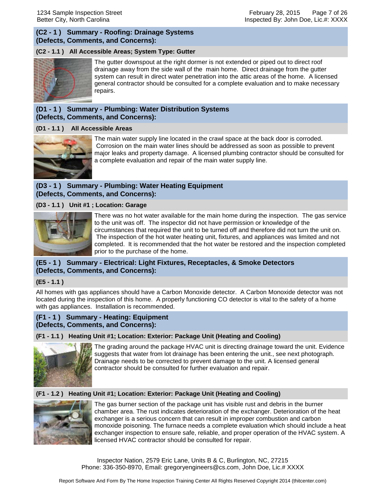## **(C2 - 1 ) Summary - Roofing: Drainage Systems (Defects, Comments, and Concerns):**

## **(C2 - 1.1 ) All Accessible Areas; System Type: Gutter**



The gutter downspout at the right dormer is not extended or piped out to direct roof drainage away from the side wall of the main home. Direct drainage from the gutter system can result in direct water penetration into the attic areas of the home. A licensed general contractor should be consulted for a complete evaluation and to make necessary repairs.

## **(D1 - 1 ) Summary - Plumbing: Water Distribution Systems (Defects, Comments, and Concerns):**

#### **(D1 - 1.1 ) All Accessible Areas**



The main water supply line located in the crawl space at the back door is corroded. Corrosion on the main water lines should be addressed as soon as possible to prevent major leaks and property damage. A licensed plumbing contractor should be consulted for a complete evaluation and repair of the main water supply line.

## **(D3 - 1 ) Summary - Plumbing: Water Heating Equipment (Defects, Comments, and Concerns):**

#### **(D3 - 1.1 ) Unit #1 ; Location: Garage**



There was no hot water available for the main home during the inspection. The gas service to the unit was off. The inspector did not have permission or knowledge of the circumstances that required the unit to be turned off and therefore did not turn the unit on. The inspection of the hot water heating unit, fixtures, and appliances was limited and not completed. It is recommended that the hot water be restored and the inspection completed prior to the purchase of the home.

## **(E5 - 1 ) Summary - Electrical: Light Fixtures, Receptacles, & Smoke Detectors (Defects, Comments, and Concerns):**

#### **(E5 - 1.1 )**

All homes with gas appliances should have a Carbon Monoxide detector. A Carbon Monoxide detector was not located during the inspection of this home. A properly functioning CO detector is vital to the safety of a home with gas appliances. Installation is recommended.

#### **(F1 - 1 ) Summary - Heating: Equipment (Defects, Comments, and Concerns):**

#### **(F1 - 1.1 ) Heating Unit #1; Location: Exterior: Package Unit (Heating and Cooling)**



The grading around the package HVAC unit is directing drainage toward the unit. Evidence suggests that water from lot drainage has been entering the unit., see next photograph. Drainage needs to be corrected to prevent damage to the unit. A licensed general contractor should be consulted for further evaluation and repair.

#### **(F1 - 1.2 ) Heating Unit #1; Location: Exterior: Package Unit (Heating and Cooling)**



The gas burner section of the package unit has visible rust and debris in the burner chamber area. The rust indicates deterioration of the exchanger. Deterioration of the heat exchanger is a serious concern that can result in improper combustion and carbon monoxide poisoning. The furnace needs a complete evaluation which should include a heat exchanger inspection to ensure safe, reliable, and proper operation of the HVAC system. A licensed HVAC contractor should be consulted for repair.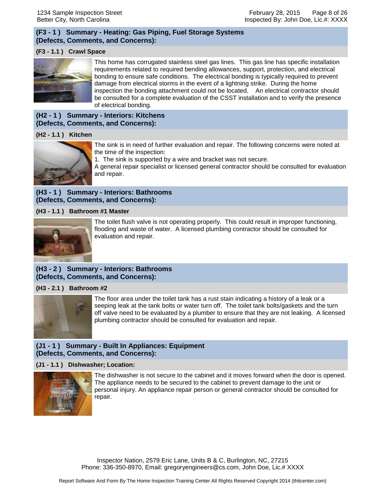## **(F3 - 1 ) Summary - Heating: Gas Piping, Fuel Storage Systems (Defects, Comments, and Concerns):**

#### **(F3 - 1.1 ) Crawl Space**



This home has corrugated stainless steel gas lines. This gas line has specific installation requirements related to required bending allowances, support, protection, and electrical bonding to ensure safe conditions. The electrical bonding is typically required to prevent damage from electrical storms in the event of a lightning strike. During the home inspection the bonding attachment could not be located. An electrical contractor should be consulted for a complete evaluation of the CSST installation and to verify the presence of electrical bonding.

## **(H2 - 1 ) Summary - Interiors: Kitchens (Defects, Comments, and Concerns):**

#### **(H2 - 1.1 ) Kitchen**



The sink is in need of further evaluation and repair. The following concerns were noted at the time of the inspection:

1. The sink is supported by a wire and bracket was not secure.

A general repair specialist or licensed general contractor should be consulted for evaluation and repair.

## **(H3 - 1 ) Summary - Interiors: Bathrooms (Defects, Comments, and Concerns):**

**(H3 - 1.1 ) Bathroom #1 Master**



The toilet flush valve is not operating properly. This could result in improper functioning, flooding and waste of water. A licensed plumbing contractor should be consulted for evaluation and repair.

## **(H3 - 2 ) Summary - Interiors: Bathrooms (Defects, Comments, and Concerns):**

#### **(H3 - 2.1 ) Bathroom #2**



The floor area under the toilet tank has a rust stain indicating a history of a leak or a seeping leak at the tank bolts or water turn off. The toilet tank bolts/gaskets and the turn off valve need to be evaluated by a plumber to ensure that they are not leaking. A licensed plumbing contractor should be consulted for evaluation and repair.

#### **(J1 - 1 ) Summary - Built In Appliances: Equipment (Defects, Comments, and Concerns):**

#### **(J1 - 1.1 ) Dishwasher; Location:**



The dishwasher is not secure to the cabinet and it moves forward when the door is opened. The appliance needs to be secured to the cabinet to prevent damage to the unit or personal injury. An appliance repair person or general contractor should be consulted for repair.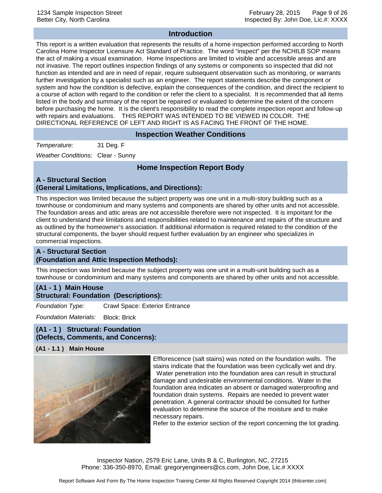#### **Introduction**

This report is a written evaluation that represents the results of a home inspection performed according to North Carolina Home Inspector Licensure Act Standard of Practice. The word "inspect" per the NCHILB SOP means the act of making a visual examination. Home Inspections are limited to visible and accessible areas and are not invasive. The report outlines inspection findings of any systems or components so inspected that did not function as intended and are in need of repair, require subsequent observation such as monitoring, or warrants further investigation by a specialist such as an engineer. The report statements describe the component or system and how the condition is defective, explain the consequences of the condition, and direct the recipient to a course of action with regard to the condition or refer the client to a specialist. It is recommended that all items listed in the body and summary of the report be repaired or evaluated to determine the extent of the concern before purchasing the home. It is the client's responsibility to read the complete inspection report and follow-up with repairs and evaluations. THIS REPORT WAS INTENDED TO BE VIEWED IN COLOR. THE DIRECTIONAL REFERENCE OF LEFT AND RIGHT IS AS FACING THE FRONT OF THE HOME.

#### **Inspection Weather Conditions**

*Temperature:* 31 Deg. F

*Weather Conditions:* Clear - Sunny

## **Home Inspection Report Body**

## **A - Structural Section (General Limitations, Implications, and Directions):**

This inspection was limited because the subject property was one unit in a multi-story building such as a townhouse or condominium and many systems and components are shared by other units and not accessible. The foundation areas and attic areas are not accessible therefore were not inspected. It is important for the client to understand their limitations and responsibilities related to maintenance and repairs of the structure and as outlined by the homeowner's association. If additional information is required related to the condition of the structural components, the buyer should request further evaluation by an engineer who specializes in commercial inspections.

#### **A - Structural Section (Foundation and Attic Inspection Methods):**

This inspection was limited because the subject property was one unit in a multi-unit building such as a townhouse or condominium and many systems and components are shared by other units and not accessible.

#### **(A1 - 1 ) Main House Structural: Foundation (Descriptions):**

*Foundation Type:* Crawl Space: Exterior Entrance

*Foundation Materials:* Block: Brick

**(A1 - 1 ) Structural: Foundation (Defects, Comments, and Concerns):**

#### **(A1 - 1.1 ) Main House**



Efflorescence (salt stains) was noted on the foundation walls. The stains indicate that the foundation was been cyclically wet and dry. Water penetration into the foundation area can result in structural

damage and undesirable environmental conditions. Water in the foundation area indicates an absent or damaged waterproofing and foundation drain systems. Repairs are needed to prevent water penetration. A general contractor should be consulted for further evaluation to determine the source of the moisture and to make necessary repairs.

Refer to the exterior section of the report concerning the lot grading.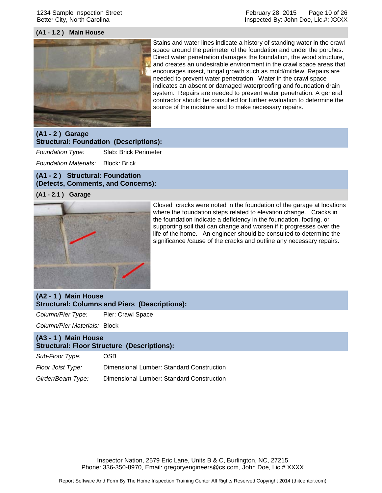1234 Sample Inspection Street Better City, North Carolina

#### **(A1 - 1.2 ) Main House**



Stains and water lines indicate a history of standing water in the crawl space around the perimeter of the foundation and under the porches. Direct water penetration damages the foundation, the wood structure, and creates an undesirable environment in the crawl space areas that encourages insect, fungal growth such as mold/mildew. Repairs are needed to prevent water penetration. Water in the crawl space indicates an absent or damaged waterproofing and foundation drain system. Repairs are needed to prevent water penetration. A general contractor should be consulted for further evaluation to determine the source of the moisture and to make necessary repairs.

#### **(A1 - 2 ) Garage Structural: Foundation (Descriptions):**

*Foundation Type:* Slab: Brick Perimeter

*Foundation Materials:* Block: Brick

#### **(A1 - 2 ) Structural: Foundation (Defects, Comments, and Concerns):**

#### **(A1 - 2.1 ) Garage**



Closed cracks were noted in the foundation of the garage at locations where the foundation steps related to elevation change. Cracks in the foundation indicate a deficiency in the foundation, footing, or supporting soil that can change and worsen if it progresses over the life of the home. An engineer should be consulted to determine the significance /cause of the cracks and outline any necessary repairs.

## **(A2 - 1 ) Main House Structural: Columns and Piers (Descriptions):**

*Column/Pier Type:* Pier: Crawl Space

*Column/Pier Materials:* Block

## **(A3 - 1 ) Main House Structural: Floor Structure (Descriptions):**

*Sub-Floor Type:* OSB

*Floor Joist Type:* Dimensional Lumber: Standard Construction

*Girder/Beam Type:* Dimensional Lumber: Standard Construction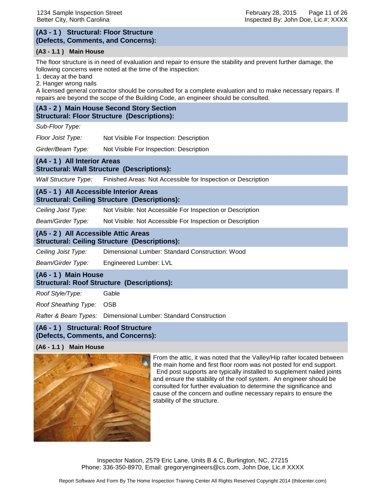#### **(A3 - 1 ) Structural: Floor Structure (Defects, Comments, and Concerns):**

#### **(A3 - 1.1 ) Main House**

The floor structure is in need of evaluation and repair to ensure the stability and prevent further damage, the following concerns were noted at the time of the inspection:

1. decay at the band

2. Hanger wrong nails

A licensed general contractor should be consulted for a complete evaluation and to make necessary repairs. If repairs are beyond the scope of the Building Code, an engineer should be consulted.

## **(A3 - 2 ) Main House Second Story Section Structural: Floor Structure (Descriptions):**

*Sub-Floor Type:*

*Floor Joist Type:* Not Visible For Inspection: Description

*Girder/Beam Type:* Not Visible For Inspection: Description

#### **(A4 - 1 ) All Interior Areas Structural: Wall Structure (Descriptions):**

*Wall Structure Type:* Finished Areas: Not Accessible for Inspection or Description

#### **(A5 - 1 ) All Accessible Interior Areas Structural: Ceiling Structure (Descriptions):**

*Ceiling Joist Type:* Not Visible: Not Accessible For Inspection or Description

*Beam/Girder Type:* Not Visible: Not Accessible For Inspection or Description

#### **(A5 - 2 ) All Accessible Attic Areas Structural: Ceiling Structure (Descriptions):**

*Ceiling Joist Type:* Dimensional Lumber: Standard Construction: Wood

*Beam/Girder Type:* Engineered Lumber: LVL

## **(A6 - 1 ) Main House Structural: Roof Structure (Descriptions):**

*Roof Style/Type:* Gable

*Roof Sheathing Type:* OSB

*Rafter & Beam Types:* Dimensional Lumber: Standard Construction

#### **(A6 - 1 ) Structural: Roof Structure (Defects, Comments, and Concerns):**

#### **(A6 - 1.1 ) Main House**



From the attic, it was noted that the Valley/Hip rafter located between the main home and first floor room was not posted for end support. End post supports are typically installed to supplement nailed joints and ensure the stability of the roof system. An engineer should be consulted for further evaluation to determine the significance and cause of the concern and outline necessary repairs to ensure the stability of the structure.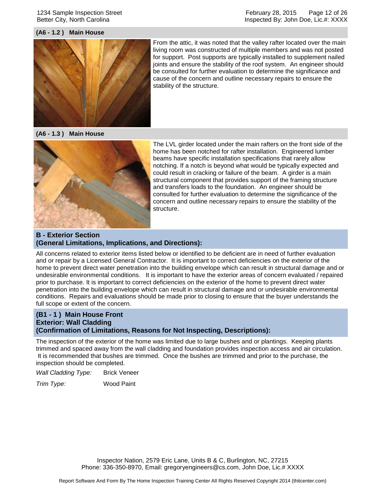#### 1234 Sample Inspection Street Better City, North Carolina

#### February 28, 2015 Page 12 of 26 Inspected By: John Doe, Lic.#: XXXX

#### **(A6 - 1.2 ) Main House**



From the attic, it was noted that the valley rafter located over the main living room was constructed of multiple members and was not posted for support. Post supports are typically installed to supplement nailed joints and ensure the stability of the roof system. An engineer should be consulted for further evaluation to determine the significance and cause of the concern and outline necessary repairs to ensure the stability of the structure.

**(A6 - 1.3 ) Main House**



The LVL girder located under the main rafters on the front side of the home has been notched for rafter installation. Engineered lumber beams have specific installation specifications that rarely allow notching. If a notch is beyond what would be typically expected and could result in cracking or failure of the beam. A girder is a main structural component that provides support of the framing structure and transfers loads to the foundation. An engineer should be consulted for further evaluation to determine the significance of the concern and outline necessary repairs to ensure the stability of the structure.

#### **B - Exterior Section (General Limitations, Implications, and Directions):**

All concerns related to exterior items listed below or identified to be deficient are in need of further evaluation and or repair by a Licensed General Contractor. It is important to correct deficiencies on the exterior of the home to prevent direct water penetration into the building envelope which can result in structural damage and or undesirable environmental conditions. It is important to have the exterior areas of concern evaluated / repaired prior to purchase. It is important to correct deficiencies on the exterior of the home to prevent direct water penetration into the building envelope which can result in structural damage and or undesirable environmental conditions. Repairs and evaluations should be made prior to closing to ensure that the buyer understands the full scope or extent of the concern.

## **(B1 - 1 ) Main House Front Exterior: Wall Cladding (Confirmation of Limitations, Reasons for Not Inspecting, Descriptions):**

The inspection of the exterior of the home was limited due to large bushes and or plantings. Keeping plants trimmed and spaced away from the wall cladding and foundation provides inspection access and air circulation. It is recommended that bushes are trimmed. Once the bushes are trimmed and prior to the purchase, the inspection should be completed.

*Wall Cladding Type:* Brick Veneer

*Trim Type:* Wood Paint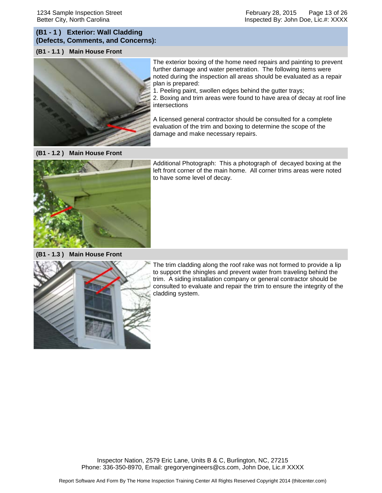## **(B1 - 1 ) Exterior: Wall Cladding (Defects, Comments, and Concerns):**

#### **(B1 - 1.1 ) Main House Front**



The exterior boxing of the home need repairs and painting to prevent further damage and water penetration. The following items were noted during the inspection all areas should be evaluated as a repair plan is prepared:

1. Peeling paint, swollen edges behind the gutter trays;

2. Boxing and trim areas were found to have area of decay at roof line intersections

A licensed general contractor should be consulted for a complete evaluation of the trim and boxing to determine the scope of the damage and make necessary repairs.

**(B1 - 1.2 ) Main House Front**



Additional Photograph: This a photograph of decayed boxing at the left front corner of the main home. All corner trims areas were noted to have some level of decay.

**(B1 - 1.3 ) Main House Front**



The trim cladding along the roof rake was not formed to provide a lip to support the shingles and prevent water from traveling behind the trim. A siding installation company or general contractor should be consulted to evaluate and repair the trim to ensure the integrity of the cladding system.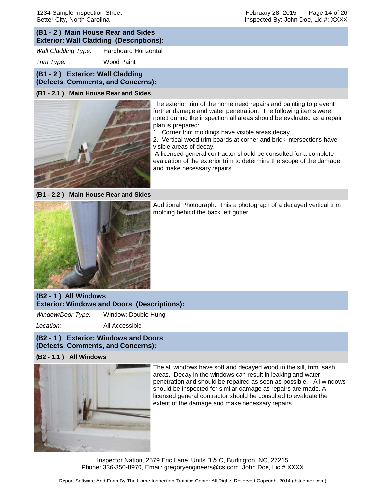## **(B1 - 2 ) Main House Rear and Sides Exterior: Wall Cladding (Descriptions):**

*Wall Cladding Type:* Hardboard Horizontal

*Trim Type:* Wood Paint

# **(B1 - 2 ) Exterior: Wall Cladding**

**(Defects, Comments, and Concerns):**

#### **(B1 - 2.1 ) Main House Rear and Sides**



The exterior trim of the home need repairs and painting to prevent further damage and water penetration. The following items were noted during the inspection all areas should be evaluated as a repair plan is prepared:

1. Corner trim moldings have visible areas decay.

2. Vertical wood trim boards at corner and brick intersections have visible areas of decay.

A licensed general contractor should be consulted for a complete evaluation of the exterior trim to determine the scope of the damage and make necessary repairs.

**(B1 - 2.2 ) Main House Rear and Sides**



Additional Photograph: This a photograph of a decayed vertical trim molding behind the back left gutter.

## **(B2 - 1 ) All Windows Exterior: Windows and Doors (Descriptions):**

*Window/Door Type:* Window: Double Hung

*Location:* All Accessible

## **(B2 - 1 ) Exterior: Windows and Doors (Defects, Comments, and Concerns):**

#### **(B2 - 1.1 ) All Windows**



The all windows have soft and decayed wood in the sill, trim, sash areas. Decay in the windows can result in leaking and water penetration and should be repaired as soon as possible. All windows should be inspected for similar damage as repairs are made. A licensed general contractor should be consulted to evaluate the extent of the damage and make necessary repairs.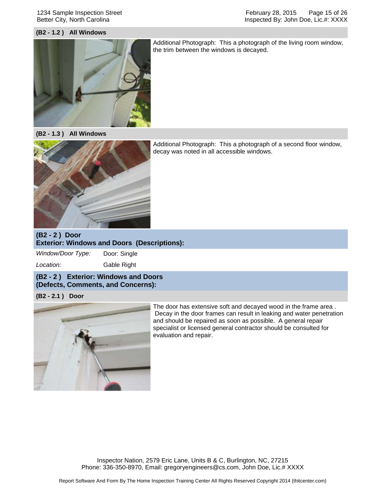#### 1234 Sample Inspection Street Better City, North Carolina

February 28, 2015 Page 15 of 26 Inspected By: John Doe, Lic.#: XXXX

#### **(B2 - 1.2 ) All Windows**



Additional Photograph: This a photograph of the living room window, the trim between the windows is decayed.

**(B2 - 1.3 ) All Windows**



Additional Photograph: This a photograph of a second floor window, decay was noted in all accessible windows.

## **(B2 - 2 ) Door Exterior: Windows and Doors (Descriptions):**

*Window/Door Type:* Door: Single

*Location:* Gable Right

#### **(B2 - 2 ) Exterior: Windows and Doors (Defects, Comments, and Concerns):**

#### **(B2 - 2.1 ) Door**



The door has extensive soft and decayed wood in the frame area . Decay in the door frames can result in leaking and water penetration and should be repaired as soon as possible. A general repair specialist or licensed general contractor should be consulted for evaluation and repair.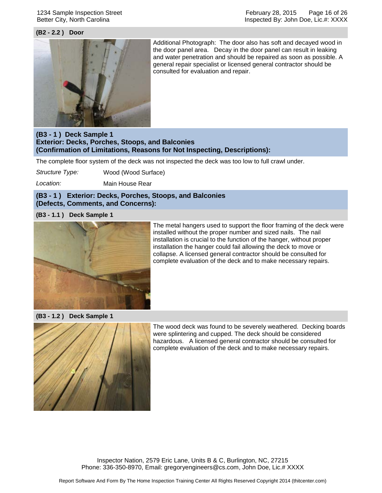#### 1234 Sample Inspection Street Better City, North Carolina

#### **(B2 - 2.2 ) Door**



Additional Photograph: The door also has soft and decayed wood in the door panel area. Decay in the door panel can result in leaking and water penetration and should be repaired as soon as possible. A general repair specialist or licensed general contractor should be consulted for evaluation and repair.

## **(B3 - 1 ) Deck Sample 1 Exterior: Decks, Porches, Stoops, and Balconies (Confirmation of Limitations, Reasons for Not Inspecting, Descriptions):**

The complete floor system of the deck was not inspected the deck was too low to full crawl under.

*Structure Type:* Wood (Wood Surface)

*Location:* Main House Rear

#### **(B3 - 1 ) Exterior: Decks, Porches, Stoops, and Balconies (Defects, Comments, and Concerns):**

#### **(B3 - 1.1 ) Deck Sample 1**



The metal hangers used to support the floor framing of the deck were installed without the proper number and sized nails. The nail installation is crucial to the function of the hanger, without proper installation the hanger could fail allowing the deck to move or collapse. A licensed general contractor should be consulted for complete evaluation of the deck and to make necessary repairs.

**(B3 - 1.2 ) Deck Sample 1**



The wood deck was found to be severely weathered. Decking boards were splintering and cupped. The deck should be considered hazardous. A licensed general contractor should be consulted for complete evaluation of the deck and to make necessary repairs.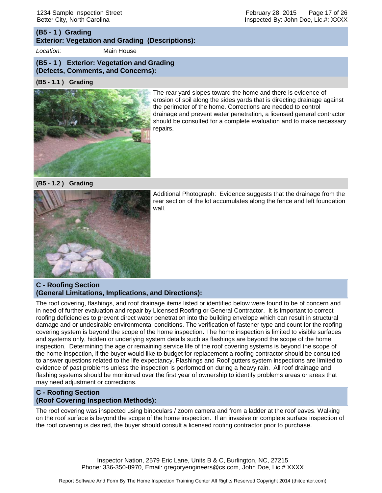#### February 28, 2015 Page 17 of 26 Inspected By: John Doe, Lic.#: XXXX

#### **(B5 - 1 ) Grading Exterior: Vegetation and Grading (Descriptions):**

*Location:* Main House

#### **(B5 - 1 ) Exterior: Vegetation and Grading (Defects, Comments, and Concerns):**

## **(B5 - 1.1 ) Grading**



The rear yard slopes toward the home and there is evidence of erosion of soil along the sides yards that is directing drainage against the perimeter of the home. Corrections are needed to control drainage and prevent water penetration, a licensed general contractor should be consulted for a complete evaluation and to make necessary repairs.

**(B5 - 1.2 ) Grading**



Additional Photograph: Evidence suggests that the drainage from the rear section of the lot accumulates along the fence and left foundation wall.

## **C - Roofing Section (General Limitations, Implications, and Directions):**

The roof covering, flashings, and roof drainage items listed or identified below were found to be of concern and in need of further evaluation and repair by Licensed Roofing or General Contractor. It is important to correct roofing deficiencies to prevent direct water penetration into the building envelope which can result in structural damage and or undesirable environmental conditions. The verification of fastener type and count for the roofing covering system is beyond the scope of the home inspection. The home inspection is limited to visible surfaces and systems only, hidden or underlying system details such as flashings are beyond the scope of the home inspection. Determining the age or remaining service life of the roof covering systems is beyond the scope of the home inspection, if the buyer would like to budget for replacement a roofing contractor should be consulted to answer questions related to the life expectancy. Flashings and Roof gutters system inspections are limited to evidence of past problems unless the inspection is performed on during a heavy rain. All roof drainage and flashing systems should be monitored over the first year of ownership to identify problems areas or areas that may need adjustment or corrections.

## **C - Roofing Section (Roof Covering Inspection Methods):**

The roof covering was inspected using binoculars / zoom camera and from a ladder at the roof eaves. Walking on the roof surface is beyond the scope of the home inspection. If an invasive or complete surface inspection of the roof covering is desired, the buyer should consult a licensed roofing contractor prior to purchase.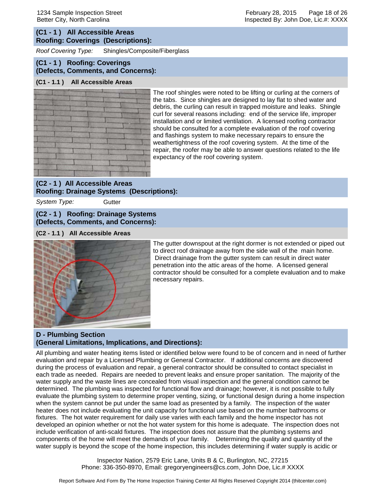## **(C1 - 1 ) All Accessible Areas Roofing: Coverings (Descriptions):**

*Roof Covering Type:* Shingles/Composite/Fiberglass

#### **(C1 - 1 ) Roofing: Coverings (Defects, Comments, and Concerns):**

#### **(C1 - 1.1 ) All Accessible Areas**



The roof shingles were noted to be lifting or curling at the corners of the tabs. Since shingles are designed to lay flat to shed water and debris, the curling can result in trapped moisture and leaks. Shingle curl for several reasons including: end of the service life, improper installation and or limited ventilation. A licensed roofing contractor should be consulted for a complete evaluation of the roof covering and flashings system to make necessary repairs to ensure the weathertightness of the roof covering system. At the time of the repair, the roofer may be able to answer questions related to the life expectancy of the roof covering system.

## **(C2 - 1 ) All Accessible Areas Roofing: Drainage Systems (Descriptions):**

*System Type:* Gutter

#### **(C2 - 1 ) Roofing: Drainage Systems (Defects, Comments, and Concerns):**

#### **(C2 - 1.1 ) All Accessible Areas**



The gutter downspout at the right dormer is not extended or piped out to direct roof drainage away from the side wall of the main home. Direct drainage from the gutter system can result in direct water penetration into the attic areas of the home. A licensed general contractor should be consulted for a complete evaluation and to make necessary repairs.

## **D - Plumbing Section (General Limitations, Implications, and Directions):**

All plumbing and water heating items listed or identified below were found to be of concern and in need of further evaluation and repair by a Licensed Plumbing or General Contractor. If additional concerns are discovered during the process of evaluation and repair, a general contractor should be consulted to contact specialist in each trade as needed. Repairs are needed to prevent leaks and ensure proper sanitation. The majority of the water supply and the waste lines are concealed from visual inspection and the general condition cannot be determined. The plumbing was inspected for functional flow and drainage; however, it is not possible to fully evaluate the plumbing system to determine proper venting, sizing, or functional design during a home inspection when the system cannot be put under the same load as presented by a family. The inspection of the water heater does not include evaluating the unit capacity for functional use based on the number bathrooms or fixtures. The hot water requirement for daily use varies with each family and the home inspector has not developed an opinion whether or not the hot water system for this home is adequate. The inspection does not include verification of anti-scald fixtures. The inspection does not assure that the plumbing systems and components of the home will meet the demands of your family. Determining the quality and quantity of the water supply is beyond the scope of the home inspection, this includes determining if water supply is acidic or

> Inspector Nation, 2579 Eric Lane, Units B & C, Burlington, NC, 27215 Phone: 336-350-8970, Email: gregoryengineers@cs.com, John Doe, Lic.# XXXX

February 28, 2015 Page 18 of 26 Inspected By: John Doe, Lic.#: XXXX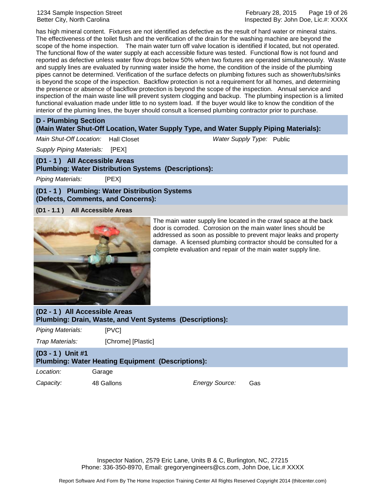1234 Sample Inspection Street Better City, North Carolina

has high mineral content. Fixtures are not identified as defective as the result of hard water or mineral stains. The effectiveness of the toilet flush and the verification of the drain for the washing machine are beyond the scope of the home inspection. The main water turn off valve location is identified if located, but not operated. The functional flow of the water supply at each accessible fixture was tested. Functional flow is not found and reported as defective unless water flow drops below 50% when two fixtures are operated simultaneously. Waste and supply lines are evaluated by running water inside the home, the condition of the inside of the plumbing pipes cannot be determined. Verification of the surface defects on plumbing fixtures such as shower/tubs/sinks is beyond the scope of the inspection. Backflow protection is not a requirement for all homes, and determining the presence or absence of backflow protection is beyond the scope of the inspection. Annual service and inspection of the main waste line will prevent system clogging and backup. The plumbing inspection is a limited functional evaluation made under little to no system load. If the buyer would like to know the condition of the interior of the pluming lines, the buyer should consult a licensed plumbing contractor prior to purchase.

#### **D - Plumbing Section**

#### **(Main Water Shut-Off Location, Water Supply Type, and Water Supply Piping Materials):**

*Main Shut-Off Location:* Hall Closet *Water Supply Type:* Public

*Supply Piping Materials:* [PEX]

**(D1 - 1 ) All Accessible Areas Plumbing: Water Distribution Systems (Descriptions):**

*Piping Materials:* [PEX]

**(D1 - 1 ) Plumbing: Water Distribution Systems (Defects, Comments, and Concerns):**

**(D1 - 1.1 ) All Accessible Areas**



The main water supply line located in the crawl space at the back door is corroded. Corrosion on the main water lines should be addressed as soon as possible to prevent major leaks and property damage. A licensed plumbing contractor should be consulted for a complete evaluation and repair of the main water supply line.

**(D2 - 1 ) All Accessible Areas Plumbing: Drain, Waste, and Vent Systems (Descriptions):**

*Piping Materials:* [PVC]

*Trap Materials:* [Chrome] [Plastic]

#### **(D3 - 1 ) Unit #1 Plumbing: Water Heating Equipment (Descriptions):**

*Location:* Garage *Capacity:* 48 Gallons *Energy Source:* Gas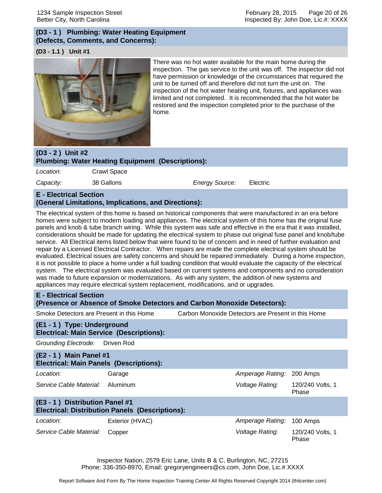## **(D3 - 1 ) Plumbing: Water Heating Equipment (Defects, Comments, and Concerns):**

#### **(D3 - 1.1 ) Unit #1**



There was no hot water available for the main home during the inspection. The gas service to the unit was off. The inspector did not have permission or knowledge of the circumstances that required the unit to be turned off and therefore did not turn the unit on. The inspection of the hot water heating unit, fixtures, and appliances was limited and not completed. It is recommended that the hot water be restored and the inspection completed prior to the purchase of the home.

# **(D3 - 2 ) Unit #2 Plumbing: Water Heating Equipment (Descriptions):** *Location:* Crawl Space *Capacity:* 38 Gallons *Energy Source:* Electric

## **E - Electrical Section (General Limitations, Implications, and Directions):**

The electrical system of this home is based on historical components that were manufactured in an era before homes were subject to modern loading and appliances. The electrical system of this home has the original fuse panels and knob & tube branch wiring. While this system was safe and effective in the era that it was installed, considerations should be made for updating the electrical system to phase out original fuse panel and knob/tube service. All Electrical items listed below that were found to be of concern and in need of further evaluation and repair by a Licensed Electrical Contractor. When repairs are made the complete electrical system should be evaluated. Electrical issues are safety concerns and should be repaired immediately. During a home inspection, it is not possible to place a home under a full loading condition that would evaluate the capacity of the electrical system. The electrical system was evaluated based on current systems and components and no consideration was made to future expansion or modernizations. As with any system, the addition of new systems and appliances may require electrical system replacement, modifications, and or upgrades.

## **E - Electrical Section**

**(Presence or Absence of Smoke Detectors and Carbon Monoxide Detectors):**

Smoke Detectors are Present in this Home Carbon Monoxide Detectors are Present in this Home

## **(E1 - 1 ) Type: Underground Electrical: Main Service (Descriptions):**

*Grounding Electrode:* Driven Rod

# **(E2 - 1 ) Main Panel #1 Electrical: Main Panels (Descriptions): Location:** Garage *Amperage Rating:* 200 Amps *Service Cable Material:* Aluminum *Voltage Rating:* 120/240 Volts, 1 Phase **(E3 - 1 ) Distribution Panel #1 Electrical: Distribution Panels (Descriptions):** *Location:* Exterior (HVAC) *Amperage Rating:* 100 Amps *Service Cable Material:* Copper *Voltage Rating:* 120/240 Volts, 1 Phase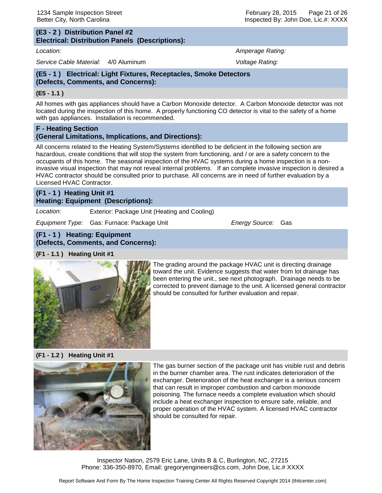#### **(E3 - 2 ) Distribution Panel #2 Electrical: Distribution Panels (Descriptions):**

*Location: Amperage Rating:*

*Service Cable Material:* 4/0 Aluminum *Voltage Rating:*

## **(E5 - 1 ) Electrical: Light Fixtures, Receptacles, Smoke Detectors (Defects, Comments, and Concerns):**

#### **(E5 - 1.1 )**

All homes with gas appliances should have a Carbon Monoxide detector. A Carbon Monoxide detector was not located during the inspection of this home. A properly functioning CO detector is vital to the safety of a home with gas appliances. Installation is recommended.

## **F - Heating Section (General Limitations, Implications, and Directions):**

All concerns related to the Heating System/Systems identified to be deficient in the following section are hazardous, create conditions that will stop the system from functioning, and / or are a safety concern to the occupants of this home. The seasonal inspection of the HVAC systems during a home inspection is a noninvasive visual inspection that may not reveal internal problems. If an complete invasive inspection is desired a HVAC contractor should be consulted prior to purchase. All concerns are in need of further evaluation by a Licensed HVAC Contractor.

## **(F1 - 1 ) Heating Unit #1 Heating: Equipment (Descriptions):**

*Location:* Exterior: Package Unit (Heating and Cooling)

*Equipment Type:* Gas: Furnace: Package Unit *Energy Source:* Gas

## **(F1 - 1 ) Heating: Equipment**

**(Defects, Comments, and Concerns):**

## **(F1 - 1.1 ) Heating Unit #1**



The grading around the package HVAC unit is directing drainage toward the unit. Evidence suggests that water from lot drainage has been entering the unit., see next photograph. Drainage needs to be corrected to prevent damage to the unit. A licensed general contractor should be consulted for further evaluation and repair.

#### **(F1 - 1.2 ) Heating Unit #1**



The gas burner section of the package unit has visible rust and debris in the burner chamber area. The rust indicates deterioration of the exchanger. Deterioration of the heat exchanger is a serious concern that can result in improper combustion and carbon monoxide poisoning. The furnace needs a complete evaluation which should include a heat exchanger inspection to ensure safe, reliable, and proper operation of the HVAC system. A licensed HVAC contractor should be consulted for repair.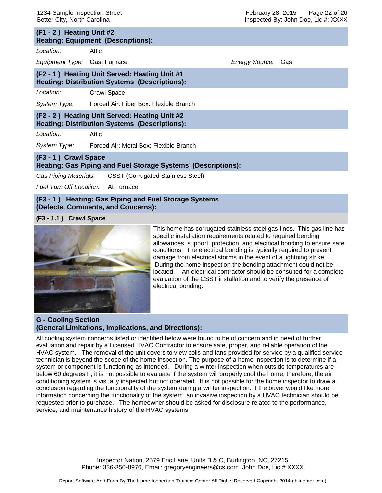| (F1 - 2) Heating Unit #2<br><b>Heating: Equipment (Descriptions):</b>                                 |                                                     |                           |  |  |
|-------------------------------------------------------------------------------------------------------|-----------------------------------------------------|---------------------------|--|--|
| Location:                                                                                             | Attic                                               |                           |  |  |
| Equipment Type: Gas: Furnace                                                                          |                                                     | <i>Energy Source:</i> Gas |  |  |
| (F2 - 1) Heating Unit Served: Heating Unit #1<br><b>Heating: Distribution Systems (Descriptions):</b> |                                                     |                           |  |  |
| Location:                                                                                             | <b>Crawl Space</b>                                  |                           |  |  |
|                                                                                                       | System Type: Forced Air: Fiber Box: Flexible Branch |                           |  |  |
| (F2 - 2) Heating Unit Served: Heating Unit #2<br><b>Heating: Distribution Systems (Descriptions):</b> |                                                     |                           |  |  |
| Location:                                                                                             | Attic                                               |                           |  |  |
|                                                                                                       | System Type: Forced Air: Metal Box: Flexible Branch |                           |  |  |
| (F3 - 1) Crawl Space<br>Heating: Gas Piping and Fuel Storage Systems (Descriptions):                  |                                                     |                           |  |  |
| Gas Piping Materials: CSST (Corrugated Stainless Steel)                                               |                                                     |                           |  |  |
| <i>Fuel Turn Off Location:</i> At Furnace                                                             |                                                     |                           |  |  |

#### **(F3 - 1 ) Heating: Gas Piping and Fuel Storage Systems (Defects, Comments, and Concerns):**

**(F3 - 1.1 ) Crawl Space**



This home has corrugated stainless steel gas lines. This gas line has specific installation requirements related to required bending allowances, support, protection, and electrical bonding to ensure safe conditions. The electrical bonding is typically required to prevent damage from electrical storms in the event of a lightning strike. During the home inspection the bonding attachment could not be located. An electrical contractor should be consulted for a complete evaluation of the CSST installation and to verify the presence of electrical bonding.

#### **G - Cooling Section (General Limitations, Implications, and Directions):**

All cooling system concerns listed or identified below were found to be of concern and in need of further evaluation and repair by a Licensed HVAC Contractor to ensure safe, proper, and reliable operation of the HVAC system. The removal of the unit covers to view coils and fans provided for service by a qualified service technician is beyond the scope of the home inspection. The purpose of a home inspection is to determine if a system or component is functioning as intended. During a winter inspection when outside temperatures are below 60 degrees F, it is not possible to evaluate if the system will properly cool the home, therefore, the air conditioning system is visually inspected but not operated. It is not possible for the home inspector to draw a conclusion regarding the functionality of the system during a winter inspection. If the buyer would like more information concerning the functionality of the system, an invasive inspection by a HVAC technician should be requested prior to purchase. The homeowner should be asked for disclosure related to the performance, service, and maintenance history of the HVAC systems.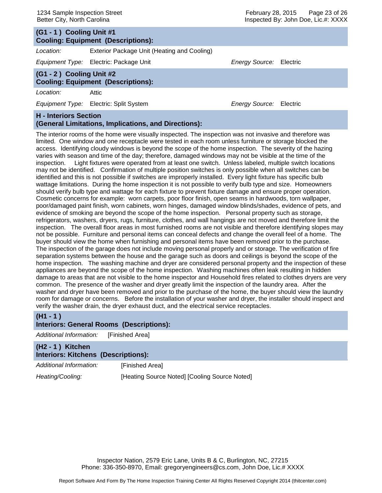# **(G1 - 1 ) Cooling Unit #1 Cooling: Equipment (Descriptions):** *Location:* Exterior Package Unit (Heating and Cooling)

*Equipment Type:* Electric: Package Unit *Energy Source:* Electric

# **(G1 - 2 ) Cooling Unit #2**

**Cooling: Equipment (Descriptions):**

*Location:* Attic

*Equipment Type:* Electric: Split System *Energy Source:* Electric

## **H - Interiors Section (General Limitations, Implications, and Directions):**

The interior rooms of the home were visually inspected. The inspection was not invasive and therefore was limited. One window and one receptacle were tested in each room unless furniture or storage blocked the access. Identifying cloudy windows is beyond the scope of the home inspection. The severity of the hazing varies with season and time of the day; therefore, damaged windows may not be visible at the time of the inspection. Light fixtures were operated from at least one switch. Unless labeled, multiple switch locations may not be identified. Confirmation of multiple position switches is only possible when all switches can be identified and this is not possible if switches are improperly installed. Every light fixture has specific bulb wattage limitations. During the home inspection it is not possible to verify bulb type and size. Homeowners should verify bulb type and wattage for each fixture to prevent fixture damage and ensure proper operation. Cosmetic concerns for example: worn carpets, poor floor finish, open seams in hardwoods, torn wallpaper, poor/damaged paint finish, worn cabinets, worn hinges, damaged window blinds/shades, evidence of pets, and evidence of smoking are beyond the scope of the home inspection. Personal property such as storage, refrigerators, washers, dryers, rugs, furniture, clothes, and wall hangings are not moved and therefore limit the inspection. The overall floor areas in most furnished rooms are not visible and therefore identifying slopes may not be possible. Furniture and personal items can conceal defects and change the overall feel of a home. The buyer should view the home when furnishing and personal items have been removed prior to the purchase. The inspection of the garage does not include moving personal properly and or storage. The verification of fire separation systems between the house and the garage such as doors and ceilings is beyond the scope of the home inspection. The washing machine and dryer are considered personal property and the inspection of these appliances are beyond the scope of the home inspection. Washing machines often leak resulting in hidden damage to areas that are not visible to the home inspector and Household fires related to clothes dryers are very common. The presence of the washer and dryer greatly limit the inspection of the laundry area. After the washer and dryer have been removed and prior to the purchase of the home, the buyer should view the laundry room for damage or concerns. Before the installation of your washer and dryer, the installer should inspect and verify the washer drain, the dryer exhaust duct, and the electrical service receptacles.

## **(H1 - 1 )**

## **Interiors: General Rooms (Descriptions):**

*Additional Information:* [Finished Area]

| (H2 - 1) Kitchen<br><b>Interiors: Kitchens (Descriptions):</b> |                                               |
|----------------------------------------------------------------|-----------------------------------------------|
| Additional Information:                                        | [Finished Area]                               |
| Heating/Cooling:                                               | [Heating Source Noted] [Cooling Source Noted] |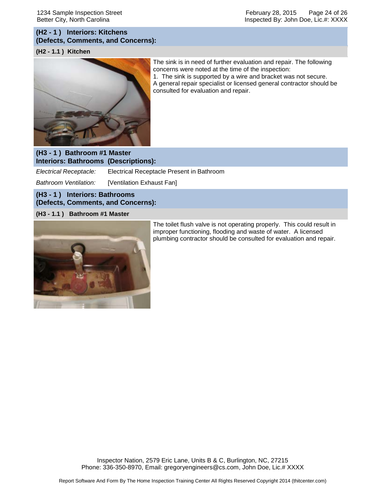February 28, 2015 Page 24 of 26 Inspected By: John Doe, Lic.#: XXXX

## **(H2 - 1 ) Interiors: Kitchens (Defects, Comments, and Concerns):**

#### **(H2 - 1.1 ) Kitchen**



The sink is in need of further evaluation and repair. The following concerns were noted at the time of the inspection: 1. The sink is supported by a wire and bracket was not secure. A general repair specialist or licensed general contractor should be consulted for evaluation and repair.

#### **(H3 - 1 ) Bathroom #1 Master Interiors: Bathrooms (Descriptions):**

*Electrical Receptacle:* Electrical Receptacle Present in Bathroom

*Bathroom Ventilation:* [Ventilation Exhaust Fan]

## **(H3 - 1 ) Interiors: Bathrooms (Defects, Comments, and Concerns):**

#### **(H3 - 1.1 ) Bathroom #1 Master**



The toilet flush valve is not operating properly. This could result in improper functioning, flooding and waste of water. A licensed plumbing contractor should be consulted for evaluation and repair.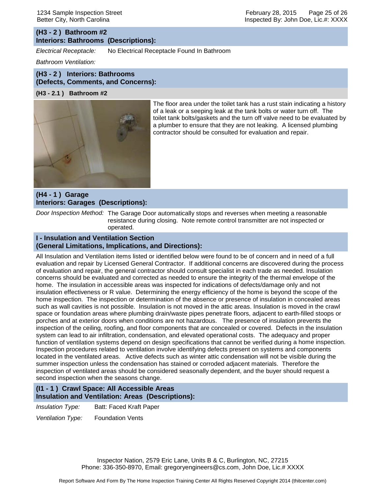## **(H3 - 2 ) Bathroom #2 Interiors: Bathrooms (Descriptions):**

*Electrical Receptacle:* No Electrical Receptacle Found In Bathroom

*Bathroom Ventilation:*

## **(H3 - 2 ) Interiors: Bathrooms (Defects, Comments, and Concerns):**

#### **(H3 - 2.1 ) Bathroom #2**



The floor area under the toilet tank has a rust stain indicating a history of a leak or a seeping leak at the tank bolts or water turn off. The toilet tank bolts/gaskets and the turn off valve need to be evaluated by a plumber to ensure that they are not leaking. A licensed plumbing contractor should be consulted for evaluation and repair.

## **(H4 - 1 ) Garage Interiors: Garages (Descriptions):**

*Door Inspection Method:* The Garage Door automatically stops and reverses when meeting a reasonable resistance during closing. Note remote control transmitter are not inspected or operated.

#### **I - Insulation and Ventilation Section (General Limitations, Implications, and Directions):**

All Insulation and Ventilation items listed or identified below were found to be of concern and in need of a full evaluation and repair by Licensed General Contractor. If additional concerns are discovered during the process of evaluation and repair, the general contractor should consult specialist in each trade as needed. Insulation concerns should be evaluated and corrected as needed to ensure the integrity of the thermal envelope of the home. The insulation in accessible areas was inspected for indications of defects/damage only and not insulation effectiveness or R value. Determining the energy efficiency of the home is beyond the scope of the home inspection. The inspection or determination of the absence or presence of insulation in concealed areas such as wall cavities is not possible. Insulation is not moved in the attic areas. Insulation is moved in the crawl space or foundation areas where plumbing drain/waste pipes penetrate floors, adjacent to earth-filled stoops or porches and at exterior doors when conditions are not hazardous. The presence of insulation prevents the inspection of the ceiling, roofing, and floor components that are concealed or covered. Defects in the insulation system can lead to air infiltration, condensation, and elevated operational costs. The adequacy and proper function of ventilation systems depend on design specifications that cannot be verified during a home inspection. Inspection procedures related to ventilation involve identifying defects present on systems and components located in the ventilated areas. Active defects such as winter attic condensation will not be visible during the summer inspection unless the condensation has stained or corroded adjacent materials. Therefore the inspection of ventilated areas should be considered seasonally dependent, and the buyer should request a second inspection when the seasons change.

#### **(I1 - 1 ) Crawl Space: All Accessible Areas Insulation and Ventilation: Areas (Descriptions):**

*Insulation Type:* Batt: Faced Kraft Paper

*Ventilation Type:* Foundation Vents